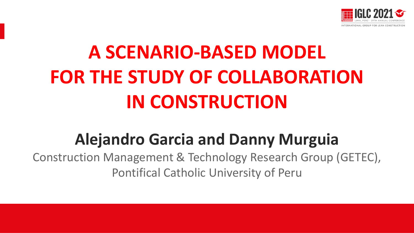

# **A SCENARIO-BASED MODEL FOR THE STUDY OF COLLABORATION IN CONSTRUCTION**

# **Alejandro Garcia and Danny Murguia**

Construction Management & Technology Research Group (GETEC), Pontifical Catholic University of Peru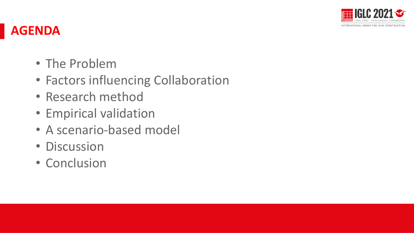

### **AGENDA**

- The Problem
- Factors influencing Collaboration
- Research method
- Empirical validation
- A scenario-based model
- Discussion
- Conclusion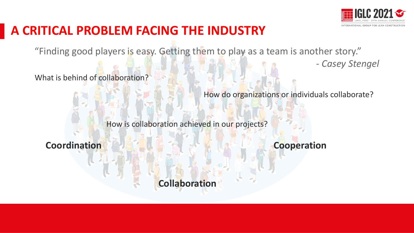

*- Casey Stengel*

#### **A CRITICAL PROBLEM FACING THE INDUSTRY**

"Finding good players is easy. Getting them to play as a team is another story."

What is behind of collaboration?

How do organizations or individuals collaborate?

How is collaboration achieved in our projects?

**Coordination Cooperation**

**Collaboration**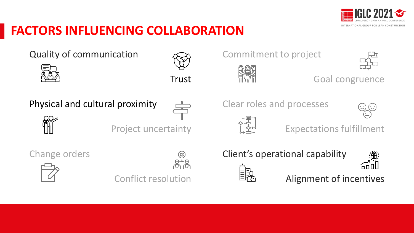

### **FACTORS INFLUENCING COLLABORATION**

Quality of communication Trust Physical and cultural proximity Project uncertainty Clear roles and processes

Change orders



Conflict resolution

Commitment to project



nnal

Goal congruence

Expectations fulfillment



Alignment of incentives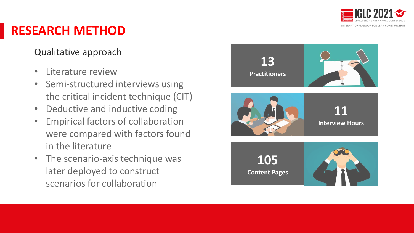

### **RESEARCH METHOD**

#### Qualitative approach

- Literature review
- Semi-structured interviews using the critical incident technique (CIT)
- Deductive and inductive coding
- Empirical factors of collaboration were compared with factors found in the literature
- The scenario-axis technique was later deployed to construct scenarios for collaboration

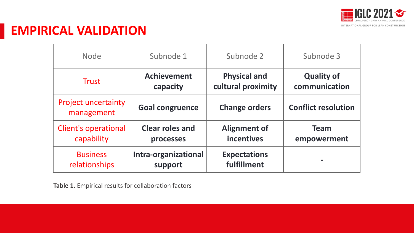

#### **EMPIRICAL VALIDATION**

| <b>Node</b>                              | Subnode 1              | Subnode 2            | Subnode 3                  |
|------------------------------------------|------------------------|----------------------|----------------------------|
| <b>Trust</b>                             | <b>Achievement</b>     | <b>Physical and</b>  | <b>Quality of</b>          |
|                                          | capacity               | cultural proximity   | communication              |
| <b>Project uncertainty</b><br>management | <b>Goal congruence</b> | <b>Change orders</b> | <b>Conflict resolution</b> |
| <b>Client's operational</b>              | <b>Clear roles and</b> | <b>Alignment of</b>  | <b>Team</b>                |
| capability                               | processes              | <b>incentives</b>    | empowerment                |
| <b>Business</b>                          | Intra-organizational   | <b>Expectations</b>  |                            |
| relationships                            | support                | fulfillment          |                            |

**Table 1.** Empirical results for collaboration factors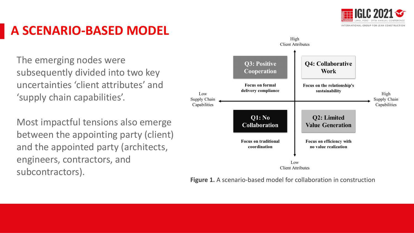

## **A SCENARIO-BASED MODEL**

The emerging nodes were subsequently divided into two key uncertainties 'client attributes' and 'supply chain capabilities'.

Most impactful tensions also emerge between the appointing party (client) and the appointed party (architects, engineers, contractors, and subcontractors).



**Figure 1.** A scenario-based model for collaboration in construction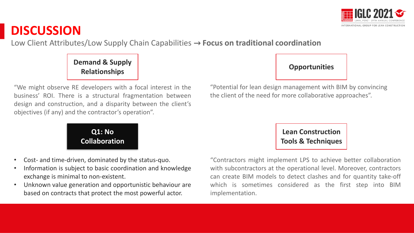

Low Client Attributes/Low Supply Chain Capabilities → **Focus on traditional coordination** 

**Demand & Supply Relationships Opportunities**

"We might observe RE developers with a focal interest in the business' ROI. There is a structural fragmentation between design and construction, and a disparity between the client's objectives (if any) and the contractor's operation".

> **Q1: No Collaboration**

- Cost- and time-driven, dominated by the status-quo.
- Information is subject to basic coordination and knowledge exchange is minimal to non-existent.
- Unknown value generation and opportunistic behaviour are based on contracts that protect the most powerful actor.



"Potential for lean design management with BIM by convincing the client of the need for more collaborative approaches".

> **Lean Construction Tools & Techniques**

"Contractors might implement LPS to achieve better collaboration with subcontractors at the operational level. Moreover, contractors can create BIM models to detect clashes and for quantity take-off which is sometimes considered as the first step into BIM implementation.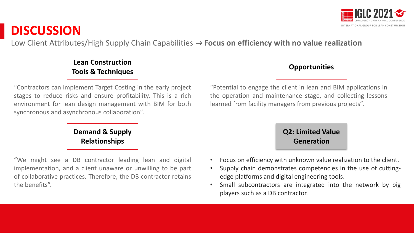

Low Client Attributes/High Supply Chain Capabilities → **Focus on efficiency with no value realization** 

**Lean Construction Tools & Techniques** 

"Contractors can implement Target Costing in the early project stages to reduce risks and ensure profitability. This is a rich environment for lean design management with BIM for both synchronous and asynchronous collaboration".

> **Demand & Supply Relationships**

"We might see a DB contractor leading lean and digital implementation, and a client unaware or unwilling to be part of collaborative practices. Therefore, the DB contractor retains the benefits".



"Potential to engage the client in lean and BIM applications in the operation and maintenance stage, and collecting lessons learned from facility managers from previous projects".

#### **Q2: Limited Value Generation**

- Focus on efficiency with unknown value realization to the client.
- Supply chain demonstrates competencies in the use of cuttingedge platforms and digital engineering tools.
- Small subcontractors are integrated into the network by big players such as a DB contractor.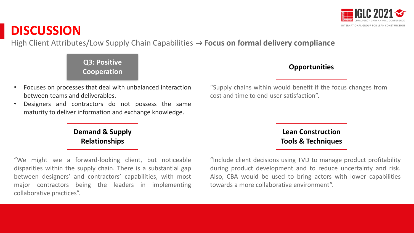

High Client Attributes/Low Supply Chain Capabilities → **Focus on formal delivery compliance**

**Q3: Positive Cooperation Opportunities**

- Focuses on processes that deal with unbalanced interaction between teams and deliverables.
- Designers and contractors do not possess the same maturity to deliver information and exchange knowledge.

**Demand & Supply Relationships**

"We might see a forward-looking client, but noticeable disparities within the supply chain. There is a substantial gap between designers' and contractors' capabilities, with most major contractors being the leaders in implementing collaborative practices".



"Supply chains within would benefit if the focus changes from cost and time to end-user satisfaction".

> **Lean Construction Tools & Techniques**

"Include client decisions using TVD to manage product profitability during product development and to reduce uncertainty and risk. Also, CBA would be used to bring actors with lower capabilities towards a more collaborative environment".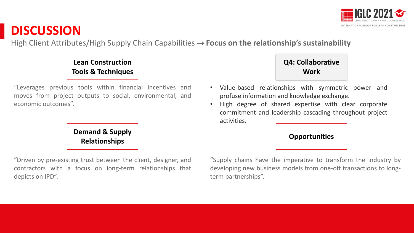

High Client Attributes/High Supply Chain Capabilities → **Focus on the relationship's sustainability**

#### **Lean Construction Tools & Techniques**

"Leverages previous tools within financial incentives and moves from project outputs to social, environmental, and economic outcomes".



"Driven by pre-existing trust between the client, designer, and contractors with a focus on long-term relationships that depicts on IPD".



- Value-based relationships with symmetric power and profuse information and knowledge exchange.
- High degree of shared expertise with clear corporate commitment and leadership cascading throughout project activities.

"Supply chains have the imperative to transform the industry by developing new business models from one-off transactions to longterm partnerships".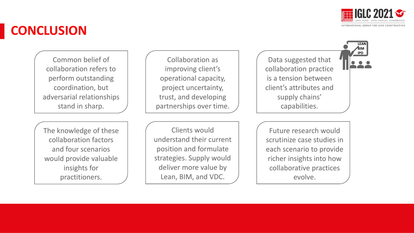

**LEAN BIM IPD**

### **CONCLUSION**

Common belief of collaboration refers to perform outstanding coordination, but adversarial relationships stand in sharp.

The knowledge of these collaboration factors and four scenarios would provide valuable insights for practitioners.

Collaboration as improving client's operational capacity, project uncertainty, trust, and developing partnerships over time.

Clients would understand their current position and formulate strategies. Supply would deliver more value by Lean, BIM, and VDC.

Data suggested that collaboration practice is a tension between client's attributes and supply chains' capabilities.

Future research would scrutinize case studies in each scenario to provide richer insights into how collaborative practices evolve.